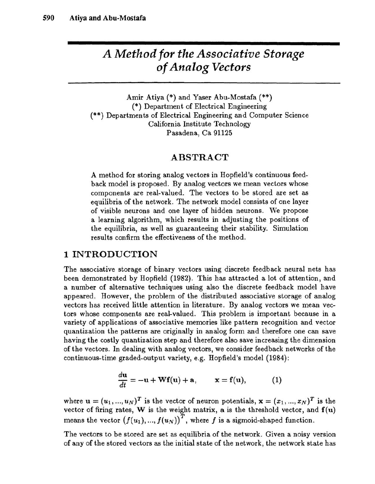## *A Method for the Associative Storage of Analog Vectors*

Amir Atiya (\*) and Yaser Abu-Mostafa (\*\*) (\*) Department of Electrical Engineering (\*\*) Departments of Electrical Engineering and Computer Science California Institute Technology Pasadena, Ca 91125

#### ABSTRACT

A method for storing analog vectors in Hopfield's continuous feedback model is proposed. By analog vectors we mean vectors whose components are real-valued. The vectors to be stored are set as equilibria of the network. The network model consists of one layer of visible neurons and one layer of hidden neurons. We propose a learning algorithm, which results in adjusting the positions of the equilibria, as well as guaranteeing their stability. Simulation results confirm the effectiveness of the method.

#### 1 INTRODUCTION

The associative storage of binary vectors using discrete feedback neural nets has been demonstrated by Hopfield (1982). This has attracted a lot of attention, and a number of alternative techniques using also the discrete feedback model have appeared. However, the problem of the distributed associative storage of analog vectors has received little attention in literature. By analog vectors we mean vectors whose components are real-valued. This problem is important because in a variety of applications of associative memories like pattern recognition and vector quantization the patterns are originally in analog form and therefore one can save having the costly quantization step and therefore also save increasing the dimension of the vectors. In dealing with analog vectors, we consider feedback networks of the continuous-time graded-output variety, e.g. Hopfield's model (1984):

$$
\frac{d\mathbf{u}}{dt} = -\mathbf{u} + \mathbf{W} \mathbf{f}(\mathbf{u}) + \mathbf{a}, \qquad \mathbf{x} = \mathbf{f}(\mathbf{u}), \tag{1}
$$

where  $\mathbf{u} = (u_1, ..., u_N)^T$  is the vector of neuron potentials,  $\mathbf{x} = (x_1, ..., x_N)^T$  is the vector of firing rates, W is the weight matrix, a is the threshold vector, and  $f(u)$ means the vector  $(f(u_1),...,f(u_N))^T$ , where f is a sigmoid-shaped function.

The vectors to be stored are set as equilibria of the network. Given a noisy version of any of the stored vectors as the initial state of the network, the network state has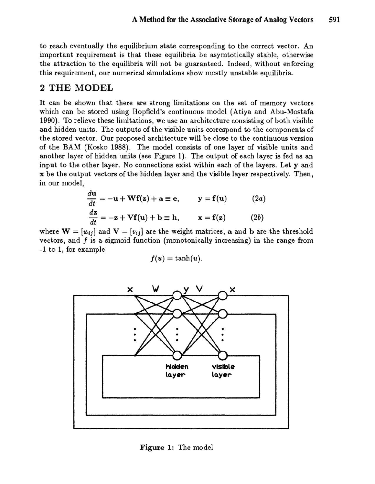to reach eventually the equilibrium state corresponding to the correct vector. An important requirement is that these equilibria be asymtotically stable, otherwise the attraction to the equilibria will not be guaranteed. Indeed, without enforcing this requirement, our numerical simulations show mostly unstable equilibria.

## 2 THE MODEL

It can be shown that there are strong limitations on the set of memory vectors which can be stored using Hopfield's continuous model (Atiya and Abu-Mostafa 1990). To relieve these limitations, we use an architecture consisting of both visible and hidden units. The outputs of the visible units correspond to the components of the stored vector. Our proposed architecture will be close to the continuous version of the BAM (Kosko 1988). The model consists of one layer of visible units and another layer of hidden units (see Figure 1). The output of each layer is fed as an input to the other layer. No connections exist within each of the layers. Let y and x be the output vectors of the hidden layer and the visible layer respectively. Then, in our model,

$$
\frac{d\mathbf{u}}{dt} = -\mathbf{u} + \mathbf{Wf}(\mathbf{z}) + \mathbf{a} \equiv \mathbf{e}, \qquad \mathbf{y} = \mathbf{f}(\mathbf{u}) \tag{2a}
$$
\n
$$
\frac{d\mathbf{z}}{dt} = -\mathbf{z} + \mathbf{Vf}(\mathbf{u}) + \mathbf{b} \equiv \mathbf{h}, \qquad \mathbf{x} = \mathbf{f}(\mathbf{z}) \tag{2b}
$$

where  $\mathbf{W} = [w_{ij}]$  and  $\mathbf{V} = [v_{ij}]$  are the weight matrices, a and b are the threshold vectors, and  $f$  is a sigmoid function (monotonically increasing) in the range from -1 to 1, for example

$$
f(u)=\tanh(u).
$$



Figure 1: The model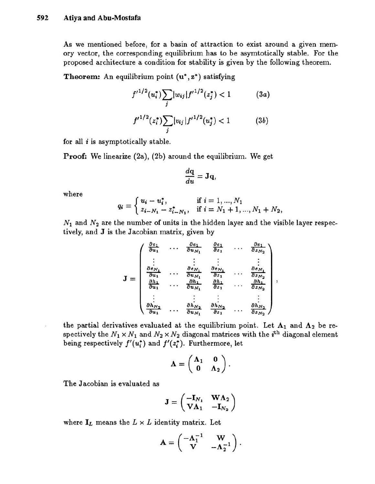As we mentioned before, for a basin of attraction to exist around a given memory vector, the corresponding equilibrium has to be asymtotically stable. For the proposed architecture a condition for stability is given by the following theorem.

**Theorem:** An equilibrium point  $(\mathbf{u}^*, \mathbf{z}^*)$  satisfying

$$
f'^{1/2}(u_i^*)\sum_j |w_{ij}|f'^{1/2}(z_j^*)<1\tag{3a}
$$

$$
f'^{1/2}(z_i^*)\sum_j |v_{ij}|f'^{1/2}(u_j^*)<1\tag{3b}
$$

for all  $i$  is asymptotically stable.

**Proof:** We linearize  $(2a)$ ,  $(2b)$  around the equilibrium. We get

$$
\frac{d\mathbf{q}}{du} = \mathbf{J}\mathbf{q},
$$

where

$$
q_i = \begin{cases} u_i - u_i^*, & \text{if } i = 1, ..., N_1 \\ z_{i-N_1} - z_{i-N_1}^*, & \text{if } i = N_1 + 1, ..., N_1 + N_2, \end{cases}
$$

 $N_1$  and  $N_2$  are the number of units in the hidden layer and the visible layer respectively, and J is the Jacobian matrix, given by

$$
\mathbf{J} = \begin{pmatrix} \frac{\partial e_1}{\partial u_1} & \cdots & \frac{\partial e_1}{\partial u_{N_1}} & \frac{\partial e_1}{\partial z_1} & \cdots & \frac{\partial e_1}{\partial z_{N_2}} \\ \vdots & \vdots & \vdots & \vdots & \vdots \\ \frac{\partial e_{N_1}}{\partial u_1} & \cdots & \frac{\partial e_{N_1}}{\partial u_{N_1}} & \frac{\partial e_{N_1}}{\partial z_1} & \cdots & \frac{\partial e_{N_1}}{\partial z_{N_2}} \\ \frac{\partial h_1}{\partial u_1} & \cdots & \frac{\partial h_1}{\partial u_{N_1}} & \frac{\partial h_1}{\partial z_1} & \cdots & \frac{\partial h_1}{\partial z_{N_2}} \\ \vdots & \vdots & \vdots & \vdots & \vdots \\ \frac{\partial h_{N_2}}{\partial u_1} & \cdots & \frac{\partial h_{N_2}}{\partial u_{N_1}} & \frac{\partial h_{N_2}}{\partial z_1} & \cdots & \frac{\partial h_{N_2}}{\partial z_{N_2}} \end{pmatrix},
$$

the partial derivatives evaluated at the equilibrium point. Let  $\Lambda_1$  and  $\Lambda_2$  be respectively the  $N_1 \times N_1$  and  $N_2 \times N_2$  diagonal matrices with the *i*<sup>th</sup> diagonal element being respectively  $f'(u_i^*)$  and  $f'(z_i^*)$ . Furthermore, let

$$
\Lambda = \begin{pmatrix} \Lambda_1 & 0 \\ 0 & \Lambda_2 \end{pmatrix}.
$$

The Jacobian is evaluated as

$$
\mathbf{J} = \begin{pmatrix} -\mathbf{I}_{N_1} & \mathbf{W}\mathbf{\Lambda}_2 \\ \mathbf{V}\mathbf{\Lambda}_1 & -\mathbf{I}_{N_2} \end{pmatrix}
$$

where  $I_L$  means the  $L \times L$  identity matrix. Let

$$
\mathbf{A} = \begin{pmatrix} -\mathbf{\Lambda}_1^{-1} & \mathbf{W} \\ \mathbf{V} & -\mathbf{\Lambda}_2^{-1} \end{pmatrix}.
$$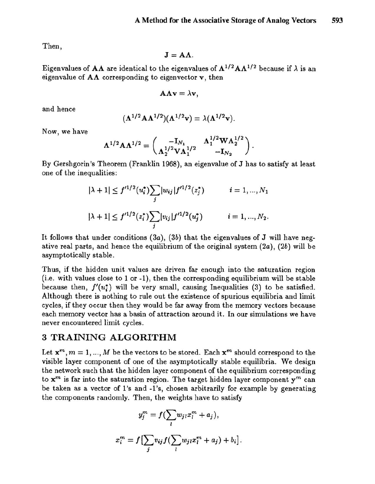Then,

$$
\mathbf{J}=\mathbf{A}\Lambda.
$$

Eigenvalues of AA are identical to the eigenvalues of  $\Lambda^{1/2} A \Lambda^{1/2}$  because if  $\lambda$  is an eigenvalue of  $A\Lambda$  corresponding to eigenvector v, then

$$
\mathbf{A}\mathbf{\Lambda}\mathbf{v}=\lambda\mathbf{v},
$$

and hence

$$
(\mathbf{\Lambda}^{1/2}\mathbf{A}\mathbf{\Lambda}^{1/2})(\mathbf{\Lambda}^{1/2}\mathbf{v})=\lambda(\mathbf{\Lambda}^{1/2}\mathbf{v}).
$$

Now, we have

$$
\Lambda^{1/2} A \Lambda^{1/2} = \begin{pmatrix} -\mathbf{I}_{N_1} & \Lambda_1^{1/2} W \Lambda_2^{1/2} \\ \Lambda_2^{1/2} V \Lambda_1^{1/2} & -\mathbf{I}_{N_2} \end{pmatrix}.
$$

By Gershgorin's Theorem (Franklin 1968), an eigenvalue of J has to satisfy at least one of the inequalities:

$$
|\lambda + 1| \le f'^{1/2}(u_i^*) \sum_j |w_{ij}| f'^{1/2}(z_j^*) \qquad i = 1, ..., N_1
$$
  

$$
|\lambda + 1| \le f'^{1/2}(z_i^*) \sum_j |v_{ij}| f'^{1/2}(u_j^*) \qquad i = 1, ..., N_2.
$$

It follows that under conditions  $(3a)$ ,  $(3b)$  that the eigenvalues of J will have negative real parts, and hence the equilibrium of the original system  $(2a)$ ,  $(2b)$  will be asymptotically stable.

Thus, if the hidden unit values are driven far enough into the saturation region (i.e. with values close to 1 or -1), then the corresponding equilibrium will be stable because then,  $f'(u_i^*)$  will be very small, causing Inequalities (3) to be satisfied. Although there is nothing to rule out the existence of spurious equilibria and limit cycles, if they occur then they would be far away from the memory vectors because each memory vector has a basin of attraction around it. In our simulations we have never encountered limit cycles.

## 3 TRAINING ALGORITHM

Let  $x^m$ ,  $m = 1, ..., M$  be the vectors to be stored. Each  $x^m$  should correspond to the visible layer component of one of the asymptotically stable equilibria. We design the network such that the hidden layer component of the equilibrium corresponding to  $x^m$  is far into the saturation region. The target hidden layer component  $y^m$  can be taken as a vector of l's and -1 's, chosen arbitrarily for example by generating the components randomly. Then, the weights have to satisfy

$$
y_j^m = f\left(\sum_l w_{jl}x_l^m + a_j\right),
$$
  

$$
x_i^m = f\left[\sum_j v_{ij}f\left(\sum_l w_{jl}x_l^m + a_j\right) + b_i\right].
$$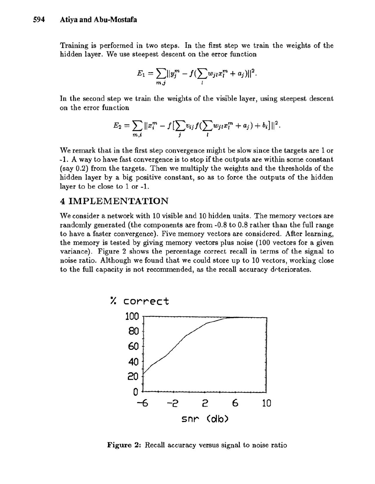Training is performed in two steps. In the first step we train the weights of the hidden layer. We use steepest descent on the error function

$$
E_1 = \sum_{m,j} ||y_j^m - f(\sum_l w_{jl} x_l^m + a_j)||^2.
$$

In the second step we train the weights of the visible layer, using steepest descent on the error function

$$
E_2 = \sum_{m,i} ||x_i^m - f[\sum_j v_{ij} f(\sum_l w_{jl} x_l^m + a_j) + b_i]||^2.
$$

We remark that in the first step convergence might be slow since the targets are 1 or -1. A way to have fast convergence is to stop if the outputs are within some constant (say 0.2) from the targets. Then we multiply the weights and the thresholds of the hidden layer by a big positive constant, so as to force the outputs of the hidden layer to be close to 1 or -1.

## 4 IMPLEMENTATION

We consider a network with 10 visible and 10 hidden units. The memory vectors are randomly generated (the components are from -0.8 to 0.8 rather than the full range to have a faster convergence). Five memory vectors are considered. After learning, the memory is tested by giving memory vectors plus noise (100 vectors for a given variance). Figure 2 shows the percentage correct recall in terms of the signal to noise ratio. Although we found that we could store up to 10 vectors, working close to the full capacity is not recommended, as the recall accuracy deteriorates.



Figure 2: Recall accuracy versus signal to noise ratio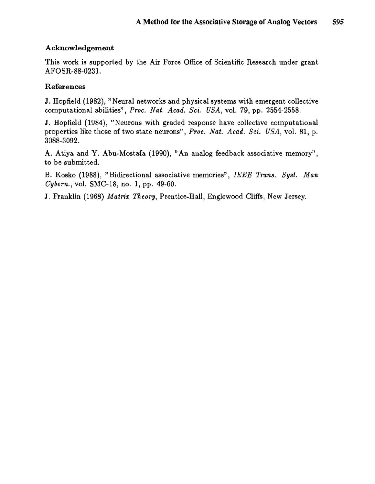### Acknowledgement

This work is supported by the Air Force Office of Scientific Research under grant AFO SR-88-0231.

## References

J. Hopfield (1982), "Neural networks and physical systems with emergent collective computational abilities", *Proc. Nat. Acad. Sci. USA,* vol. 79, pp. 2554-2558.

J. Hopfield (1984), "Neurons with graded response have collective computational properties like those of two state neurons", *Proc. Nat. Acad. Sci. USA,* vol. 81, p. 3088-3092.

A. Atiya and Y. Abu-Mostafa (1990), "An analog feedback associative memory", to be submitted.

B. Kosko (1988), "Bidirectional associative memories", *IEEE Trans. Syst. Man Cybern.,* vol. SMC-18, no. 1, pp. 49-60.

J. Franklin (1968) *Matrix Theory,* Prentice-Hall, Englewood Cliffs, New Jersey.